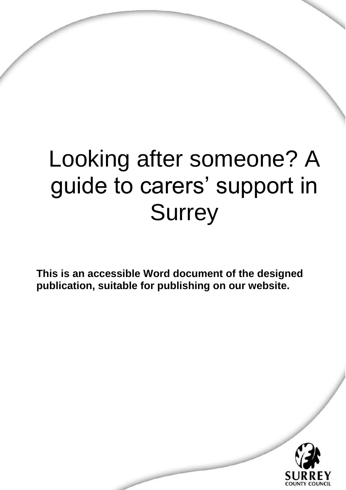# Looking after someone? A guide to carers' support in **Surrey**

**This is an accessible Word document of the designed publication, suitable for publishing on our website.** 

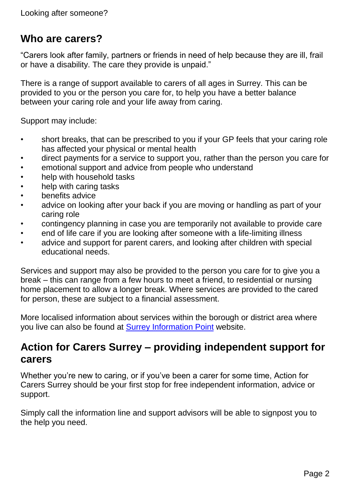## **Who are carers?**

"Carers look after family, partners or friends in need of help because they are ill, frail or have a disability. The care they provide is unpaid."

There is a range of support available to carers of all ages in Surrey. This can be provided to you or the person you care for, to help you have a better balance between your caring role and your life away from caring.

Support may include:

- short breaks, that can be prescribed to you if your GP feels that your caring role has affected your physical or mental health
- direct payments for a service to support you, rather than the person you care for
- emotional support and advice from people who understand
- help with household tasks
- help with caring tasks
- benefits advice
- advice on looking after your back if you are moving or handling as part of your caring role
- contingency planning in case you are temporarily not available to provide care
- end of life care if you are looking after someone with a life-limiting illness
- advice and support for parent carers, and looking after children with special educational needs.

Services and support may also be provided to the person you care for to give you a break – this can range from a few hours to meet a friend, to residential or nursing home placement to allow a longer break. Where services are provided to the cared for person, these are subject to a financial assessment.

More localised information about services within the borough or district area where you live can also be found at [Surrey Information Point](http://www.surreyinformationpoint.org.uk/) website.

## **Action for Carers Surrey – providing independent support for carers**

Whether you're new to caring, or if you've been a carer for some time, Action for Carers Surrey should be your first stop for free independent information, advice or support.

Simply call the information line and support advisors will be able to signpost you to the help you need.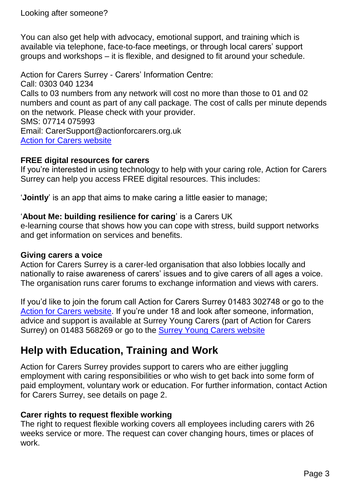You can also get help with advocacy, emotional support, and training which is available via telephone, face-to-face meetings, or through local carers' support groups and workshops – it is flexible, and designed to fit around your schedule.

Action for Carers Surrey - Carers' Information Centre: Call: 0303 040 1234 Calls to 03 numbers from any network will cost no more than those to 01 and 02 numbers and count as part of any call package. The cost of calls per minute depends on the network. Please check with your provider. SMS: 07714 075993 Email: CarerSupport@actionforcarers.org.uk [Action for Carers website](http://www.actionforcarers.org.uk/)

#### **FREE digital resources for carers**

If you're interested in using technology to help with your caring role, Action for Carers Surrey can help you access FREE digital resources. This includes:

'**Jointly**' is an app that aims to make caring a little easier to manage;

#### '**About Me: building resilience for caring**' is a Carers UK

e-learning course that shows how you can cope with stress, build support networks and get information on services and benefits.

#### **Giving carers a voice**

Action for Carers Surrey is a carer-led organisation that also lobbies locally and nationally to raise awareness of carers' issues and to give carers of all ages a voice. The organisation runs carer forums to exchange information and views with carers.

If you'd like to join the forum call Action for Carers Surrey 01483 302748 or go to the [Action for Carers website.](http://www.actionforcarers.org.uk/) If you're under 18 and look after someone, information, advice and support is available at Surrey Young Carers (part of Action for Carers Surrey) on 01483 568269 or go to the [Surrey Young Carers website](http://www.surrey-youngcarers.org.uk/)

# **Help with Education, Training and Work**

Action for Carers Surrey provides support to carers who are either juggling employment with caring responsibilities or who wish to get back into some form of paid employment, voluntary work or education. For further information, contact Action for Carers Surrey, see details on page 2.

#### **Carer rights to request flexible working**

The right to request flexible working covers all employees including carers with 26 weeks service or more. The request can cover changing hours, times or places of work.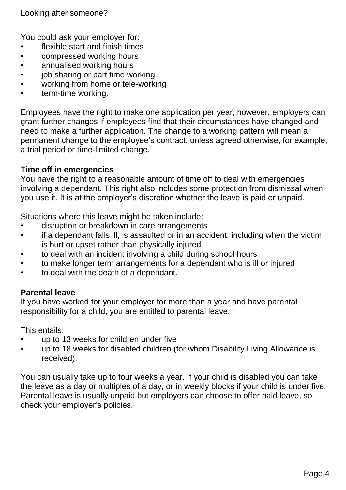Looking after someone?

You could ask your employer for:

- flexible start and finish times
- compressed working hours
- annualised working hours
- job sharing or part time working
- working from home or tele-working
- term-time working.

Employees have the right to make one application per year, however, employers can grant further changes if employees find that their circumstances have changed and need to make a further application. The change to a working pattern will mean a permanent change to the employee's contract, unless agreed otherwise, for example, a trial period or time-limited change.

#### **Time off in emergencies**

You have the right to a reasonable amount of time off to deal with emergencies involving a dependant. This right also includes some protection from dismissal when you use it. It is at the employer's discretion whether the leave is paid or unpaid.

Situations where this leave might be taken include:

- disruption or breakdown in care arrangements
- if a dependant falls ill, is assaulted or in an accident, including when the victim is hurt or upset rather than physically injured
- to deal with an incident involving a child during school hours
- to make longer term arrangements for a dependant who is ill or injured
- to deal with the death of a dependant.

#### **Parental leave**

If you have worked for your employer for more than a year and have parental responsibility for a child, you are entitled to parental leave.

This entails:

- up to 13 weeks for children under five
- up to 18 weeks for disabled children (for whom Disability Living Allowance is received).

You can usually take up to four weeks a year. If your child is disabled you can take the leave as a day or multiples of a day, or in weekly blocks if your child is under five. Parental leave is usually unpaid but employers can choose to offer paid leave, so check your employer's policies.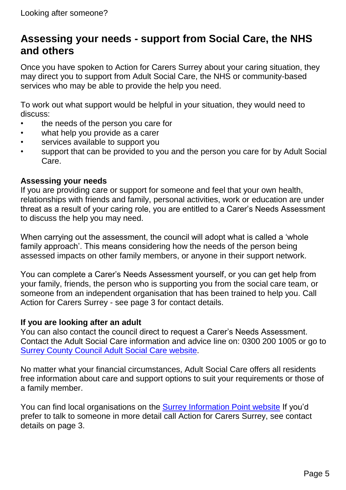## **Assessing your needs - support from Social Care, the NHS and others**

Once you have spoken to Action for Carers Surrey about your caring situation, they may direct you to support from Adult Social Care, the NHS or community-based services who may be able to provide the help you need.

To work out what support would be helpful in your situation, they would need to discuss:

- the needs of the person you care for
- what help you provide as a carer
- services available to support you
- support that can be provided to you and the person you care for by Adult Social Care.

#### **Assessing your needs**

If you are providing care or support for someone and feel that your own health, relationships with friends and family, personal activities, work or education are under threat as a result of your caring role, you are entitled to a Carer's Needs Assessment to discuss the help you may need.

When carrying out the assessment, the council will adopt what is called a 'whole family approach'. This means considering how the needs of the person being assessed impacts on other family members, or anyone in their support network.

You can complete a Carer's Needs Assessment yourself, or you can get help from your family, friends, the person who is supporting you from the social care team, or someone from an independent organisation that has been trained to help you. Call Action for Carers Surrey - see page 3 for contact details.

#### **If you are looking after an adult**

You can also contact the council direct to request a Carer's Needs Assessment. Contact the Adult Social Care information and advice line on: 0300 200 1005 or go to [Surrey County Council Adult Social Care website.](http://www.surreycc.gov.uk/adultsocialcare)

No matter what your financial circumstances, Adult Social Care offers all residents free information about care and support options to suit your requirements or those of a family member.

You can find local organisations on the [Surrey Information Point website](http://www.surreyinformationpoint.org.uk/) If you'd prefer to talk to someone in more detail call Action for Carers Surrey, see contact details on page 3.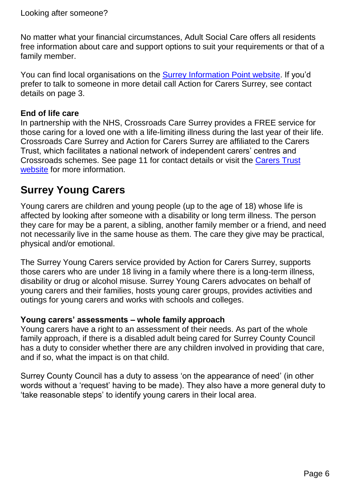Looking after someone?

No matter what your financial circumstances, Adult Social Care offers all residents free information about care and support options to suit your requirements or that of a family member.

You can find local organisations on the [Surrey Information Point website.](http://www.surreyinformationpoint.org.uk/) If you'd prefer to talk to someone in more detail call Action for Carers Surrey, see contact details on page 3.

#### **End of life care**

In partnership with the NHS, Crossroads Care Surrey provides a FREE service for those caring for a loved one with a life-limiting illness during the last year of their life. Crossroads Care Surrey and Action for Carers Surrey are affiliated to the Carers Trust, which facilitates a national network of independent carers' centres and Crossroads schemes. See page 11 for contact details or visit the [Carers Trust](http://www.carers.org/)  [website](http://www.carers.org/) for more information.

## **Surrey Young Carers**

Young carers are children and young people (up to the age of 18) whose life is affected by looking after someone with a disability or long term illness. The person they care for may be a parent, a sibling, another family member or a friend, and need not necessarily live in the same house as them. The care they give may be practical, physical and/or emotional.

The Surrey Young Carers service provided by Action for Carers Surrey, supports those carers who are under 18 living in a family where there is a long-term illness, disability or drug or alcohol misuse. Surrey Young Carers advocates on behalf of young carers and their families, hosts young carer groups, provides activities and outings for young carers and works with schools and colleges.

#### **Young carers' assessments – whole family approach**

Young carers have a right to an assessment of their needs. As part of the whole family approach, if there is a disabled adult being cared for Surrey County Council has a duty to consider whether there are any children involved in providing that care, and if so, what the impact is on that child.

Surrey County Council has a duty to assess 'on the appearance of need' (in other words without a 'request' having to be made). They also have a more general duty to 'take reasonable steps' to identify young carers in their local area.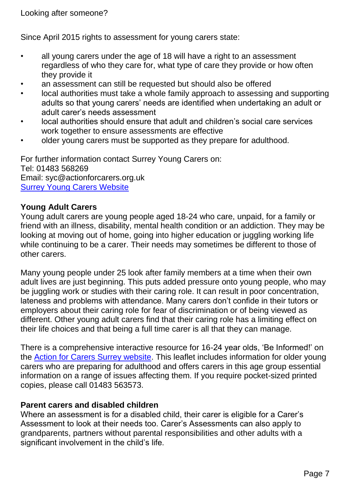Since April 2015 rights to assessment for young carers state:

- all young carers under the age of 18 will have a right to an assessment regardless of who they care for, what type of care they provide or how often they provide it
- an assessment can still be requested but should also be offered
- local authorities must take a whole family approach to assessing and supporting adults so that young carers' needs are identified when undertaking an adult or adult carer's needs assessment
- local authorities should ensure that adult and children's social care services work together to ensure assessments are effective
- older young carers must be supported as they prepare for adulthood.

For further information contact Surrey Young Carers on: Tel: 01483 568269 Email: syc@actionforcarers.org.uk [Surrey Young Carers Website](http://www.surrey-youngcarers.org.uk/)

#### **Young Adult Carers**

Young adult carers are young people aged 18-24 who care, unpaid, for a family or friend with an illness, disability, mental health condition or an addiction. They may be looking at moving out of home, going into higher education or juggling working life while continuing to be a carer. Their needs may sometimes be different to those of other carers.

Many young people under 25 look after family members at a time when their own adult lives are just beginning. This puts added pressure onto young people, who may be juggling work or studies with their caring role. It can result in poor concentration, lateness and problems with attendance. Many carers don't confide in their tutors or employers about their caring role for fear of discrimination or of being viewed as different. Other young adult carers find that their caring role has a limiting effect on their life choices and that being a full time carer is all that they can manage.

There is a comprehensive interactive resource for 16-24 year olds, 'Be Informed!' on the [Action for Carers Surrey website.](http://www.actionforcarers.org.uk/) This leaflet includes information for older young carers who are preparing for adulthood and offers carers in this age group essential information on a range of issues affecting them. If you require pocket-sized printed copies, please call 01483 563573.

#### **Parent carers and disabled children**

Where an assessment is for a disabled child, their carer is eligible for a Carer's Assessment to look at their needs too. Carer's Assessments can also apply to grandparents, partners without parental responsibilities and other adults with a significant involvement in the child's life.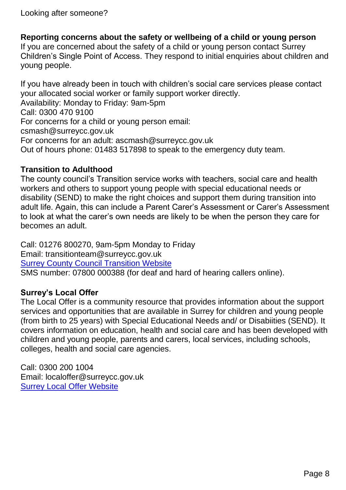Looking after someone?

**Reporting concerns about the safety or wellbeing of a child or young person**

If you are concerned about the safety of a child or young person contact Surrey Children's Single Point of Access. They respond to initial enquiries about children and young people.

If you have already been in touch with children's social care services please contact your allocated social worker or family support worker directly. Availability: Monday to Friday: 9am-5pm Call: 0300 470 9100 For concerns for a child or young person email: csmash@surreycc.gov.uk For concerns for an adult: ascmash@surreycc.gov.uk Out of hours phone: 01483 517898 to speak to the emergency duty team.

#### **Transition to Adulthood**

The county council's Transition service works with teachers, social care and health workers and others to support young people with special educational needs or disability (SEND) to make the right choices and support them during transition into adult life. Again, this can include a Parent Carer's Assessment or Carer's Assessment to look at what the carer's own needs are likely to be when the person they care for becomes an adult.

Call: 01276 800270, 9am-5pm Monday to Friday Email: transitionteam@surreycc.gov.uk [Surrey County Council Transition Website](https://www.surreycc.gov.uk/adults/disabilities/transition)

SMS number: 07800 000388 (for deaf and hard of hearing callers online).

#### **Surrey's Local Offer**

The Local Offer is a community resource that provides information about the support services and opportunities that are available in Surrey for children and young people (from birth to 25 years) with Special Educational Needs and/ or Disabiities (SEND). It covers information on education, health and social care and has been developed with children and young people, parents and carers, local services, including schools, colleges, health and social care agencies.

Call: 0300 200 1004 Email: localoffer@surreycc.gov.uk [Surrey Local Offer Website](http://www.surreylocaloffer.org.uk/)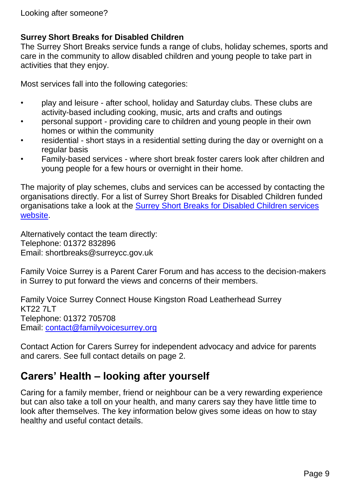#### **Surrey Short Breaks for Disabled Children**

The Surrey Short Breaks service funds a range of clubs, holiday schemes, sports and care in the community to allow disabled children and young people to take part in activities that they enjoy.

Most services fall into the following categories:

- play and leisure after school, holiday and Saturday clubs. These clubs are activity-based including cooking, music, arts and crafts and outings
- personal support providing care to children and young people in their own homes or within the community
- residential short stays in a residential setting during the day or overnight on a regular basis
- Family-based services where short break foster carers look after children and young people for a few hours or overnight in their home.

The majority of play schemes, clubs and services can be accessed by contacting the organisations directly. For a list of Surrey Short Breaks for Disabled Children funded organisations take a look at the Surrey Short [Breaks for Disabled Children services](https://www.surreycc.gov.uk/children/social-care/support-for-children-with-disabilities/surrey-short-breaks-for-disabled-children) [website.](https://www.surreycc.gov.uk/children/social-care/support-for-children-with-disabilities/surrey-short-breaks-for-disabled-children)

Alternatively contact the team directly: Telephone: 01372 832896 Email: shortbreaks@surreycc.gov.uk

Family Voice Surrey is a Parent Carer Forum and has access to the decision-makers in Surrey to put forward the views and concerns of their members.

Family Voice Surrey Connect House Kingston Road Leatherhead Surrey KT22 7LT Telephone: 01372 705708 Email: [contact@familyvoicesurrey.org](mailto:contact@familyvoicesurrey.org)

Contact Action for Carers Surrey for independent advocacy and advice for parents and carers. See full contact details on page 2.

# **Carers' Health – looking after yourself**

Caring for a family member, friend or neighbour can be a very rewarding experience but can also take a toll on your health, and many carers say they have little time to look after themselves. The key information below gives some ideas on how to stay healthy and useful contact details.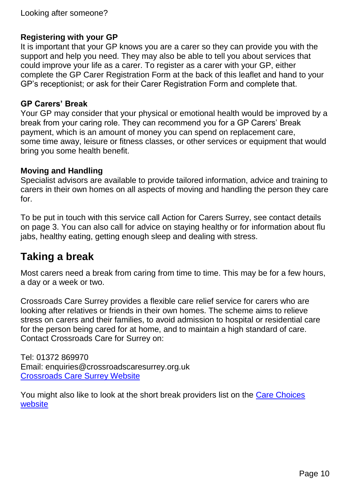#### **Registering with your GP**

It is important that your GP knows you are a carer so they can provide you with the support and help you need. They may also be able to tell you about services that could improve your life as a carer. To register as a carer with your GP, either complete the GP Carer Registration Form at the back of this leaflet and hand to your GP's receptionist; or ask for their Carer Registration Form and complete that.

#### **GP Carers' Break**

Your GP may consider that your physical or emotional health would be improved by a break from your caring role. They can recommend you for a GP Carers' Break payment, which is an amount of money you can spend on replacement care, some time away, leisure or fitness classes, or other services or equipment that would bring you some health benefit.

#### **Moving and Handling**

Specialist advisors are available to provide tailored information, advice and training to carers in their own homes on all aspects of moving and handling the person they care for.

To be put in touch with this service call Action for Carers Surrey, see contact details on page 3. You can also call for advice on staying healthy or for information about flu jabs, healthy eating, getting enough sleep and dealing with stress.

### **Taking a break**

Most carers need a break from caring from time to time. This may be for a few hours, a day or a week or two.

Crossroads Care Surrey provides a flexible care relief service for carers who are looking after relatives or friends in their own homes. The scheme aims to relieve stress on carers and their families, to avoid admission to hospital or residential care for the person being cared for at home, and to maintain a high standard of care. Contact Crossroads Care for Surrey on:

Tel: 01372 869970 Email: enquiries@crossroadscaresurrey.org.uk [Crossroads Care Surrey Website](http://www.crossroadscaresurrey.org.uk/)

You might also like to look at the short break providers list on the [Care Choices](http://www.carechoices.co.uk/region/south-east/surrey)  [website](http://www.carechoices.co.uk/region/south-east/surrey)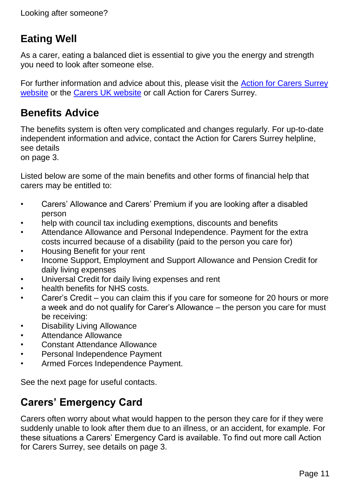# **Eating Well**

As a carer, eating a balanced diet is essential to give you the energy and strength you need to look after someone else.

For further information and advice about this, please visit the [Action for Carers Surrey](http://www.actionforcarers.org.uk/)  [website](http://www.actionforcarers.org.uk/) or the [Carers UK website](http://www.carersuk.org/) or call Action for Carers Surrey.

# **Benefits Advice**

The benefits system is often very complicated and changes regularly. For up-to-date independent information and advice, contact the Action for Carers Surrey helpline, see details

on page 3.

Listed below are some of the main benefits and other forms of financial help that carers may be entitled to:

- Carers' Allowance and Carers' Premium if you are looking after a disabled person
- help with council tax including exemptions, discounts and benefits
- Attendance Allowance and Personal Independence. Payment for the extra costs incurred because of a disability (paid to the person you care for)
- Housing Benefit for your rent
- Income Support, Employment and Support Allowance and Pension Credit for daily living expenses
- Universal Credit for daily living expenses and rent
- health benefits for NHS costs.
- Carer's Credit you can claim this if you care for someone for 20 hours or more a week and do not qualify for Carer's Allowance – the person you care for must be receiving:
- Disability Living Allowance
- Attendance Allowance
- Constant Attendance Allowance
- Personal Independence Payment
- Armed Forces Independence Payment.

See the next page for useful contacts.

## **Carers' Emergency Card**

Carers often worry about what would happen to the person they care for if they were suddenly unable to look after them due to an illness, or an accident, for example. For these situations a Carers' Emergency Card is available. To find out more call Action for Carers Surrey, see details on page 3.